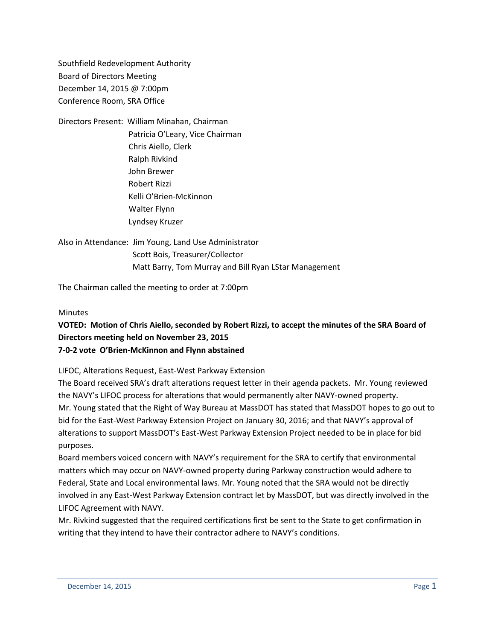Southfield Redevelopment Authority Board of Directors Meeting December 14, 2015 @ 7:00pm Conference Room, SRA Office

Directors Present: William Minahan, Chairman Patricia O'Leary, Vice Chairman Chris Aiello, Clerk Ralph Rivkind John Brewer Robert Rizzi Kelli O'Brien-McKinnon Walter Flynn Lyndsey Kruzer

Also in Attendance: Jim Young, Land Use Administrator Scott Bois, Treasurer/Collector Matt Barry, Tom Murray and Bill Ryan LStar Management

The Chairman called the meeting to order at 7:00pm

#### Minutes

## **VOTED: Motion of Chris Aiello, seconded by Robert Rizzi, to accept the minutes of the SRA Board of Directors meeting held on November 23, 2015 7-0-2 vote O'Brien-McKinnon and Flynn abstained**

LIFOC, Alterations Request, East-West Parkway Extension

The Board received SRA's draft alterations request letter in their agenda packets. Mr. Young reviewed the NAVY's LIFOC process for alterations that would permanently alter NAVY-owned property. Mr. Young stated that the Right of Way Bureau at MassDOT has stated that MassDOT hopes to go out to bid for the East-West Parkway Extension Project on January 30, 2016; and that NAVY's approval of alterations to support MassDOT's East-West Parkway Extension Project needed to be in place for bid purposes.

Board members voiced concern with NAVY's requirement for the SRA to certify that environmental matters which may occur on NAVY-owned property during Parkway construction would adhere to Federal, State and Local environmental laws. Mr. Young noted that the SRA would not be directly involved in any East-West Parkway Extension contract let by MassDOT, but was directly involved in the LIFOC Agreement with NAVY.

Mr. Rivkind suggested that the required certifications first be sent to the State to get confirmation in writing that they intend to have their contractor adhere to NAVY's conditions.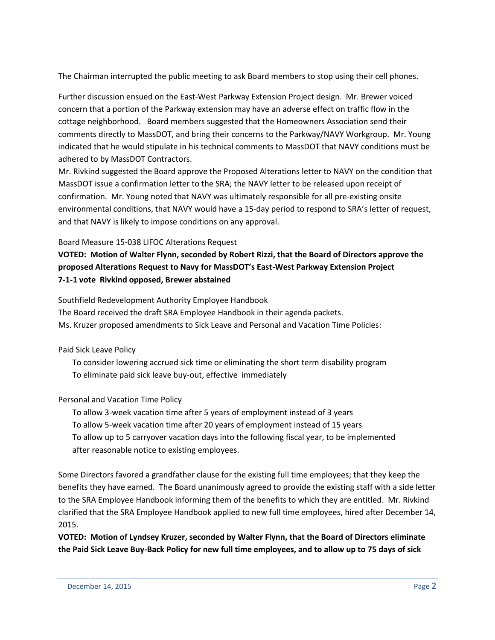The Chairman interrupted the public meeting to ask Board members to stop using their cell phones.

Further discussion ensued on the East-West Parkway Extension Project design. Mr. Brewer voiced concern that a portion of the Parkway extension may have an adverse effect on traffic flow in the cottage neighborhood. Board members suggested that the Homeowners Association send their comments directly to MassDOT, and bring their concerns to the Parkway/NAVY Workgroup. Mr. Young indicated that he would stipulate in his technical comments to MassDOT that NAVY conditions must be adhered to by MassDOT Contractors.

Mr. Rivkind suggested the Board approve the Proposed Alterations letter to NAVY on the condition that MassDOT issue a confirmation letter to the SRA; the NAVY letter to be released upon receipt of confirmation. Mr. Young noted that NAVY was ultimately responsible for all pre-existing onsite environmental conditions, that NAVY would have a 15-day period to respond to SRA's letter of request, and that NAVY is likely to impose conditions on any approval.

## Board Measure 15-038 LIFOC Alterations Request

# **VOTED: Motion of Walter Flynn, seconded by Robert Rizzi, that the Board of Directors approve the proposed Alterations Request to Navy for MassDOT's East-West Parkway Extension Project 7-1-1 vote Rivkind opposed, Brewer abstained**

Southfield Redevelopment Authority Employee Handbook

The Board received the draft SRA Employee Handbook in their agenda packets. Ms. Kruzer proposed amendments to Sick Leave and Personal and Vacation Time Policies:

Paid Sick Leave Policy

 To consider lowering accrued sick time or eliminating the short term disability program To eliminate paid sick leave buy-out, effective immediately

## Personal and Vacation Time Policy

 To allow 3-week vacation time after 5 years of employment instead of 3 years To allow 5-week vacation time after 20 years of employment instead of 15 years To allow up to 5 carryover vacation days into the following fiscal year, to be implemented after reasonable notice to existing employees.

Some Directors favored a grandfather clause for the existing full time employees; that they keep the benefits they have earned. The Board unanimously agreed to provide the existing staff with a side letter to the SRA Employee Handbook informing them of the benefits to which they are entitled. Mr. Rivkind clarified that the SRA Employee Handbook applied to new full time employees, hired after December 14, 2015.

**VOTED: Motion of Lyndsey Kruzer, seconded by Walter Flynn, that the Board of Directors eliminate the Paid Sick Leave Buy-Back Policy for new full time employees, and to allow up to 75 days of sick**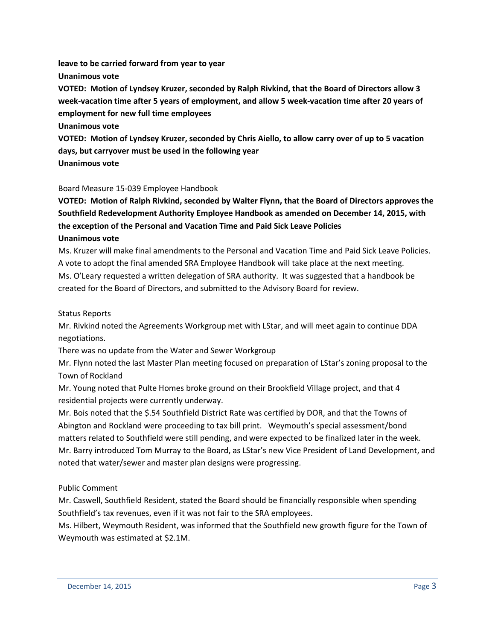**leave to be carried forward from year to year Unanimous vote VOTED: Motion of Lyndsey Kruzer, seconded by Ralph Rivkind, that the Board of Directors allow 3 week-vacation time after 5 years of employment, and allow 5 week-vacation time after 20 years of employment for new full time employees Unanimous vote VOTED: Motion of Lyndsey Kruzer, seconded by Chris Aiello, to allow carry over of up to 5 vacation days, but carryover must be used in the following year**

**Unanimous vote**

## Board Measure 15-039 Employee Handbook

**VOTED: Motion of Ralph Rivkind, seconded by Walter Flynn, that the Board of Directors approves the Southfield Redevelopment Authority Employee Handbook as amended on December 14, 2015, with the exception of the Personal and Vacation Time and Paid Sick Leave Policies Unanimous vote**

Ms. Kruzer will make final amendments to the Personal and Vacation Time and Paid Sick Leave Policies. A vote to adopt the final amended SRA Employee Handbook will take place at the next meeting. Ms. O'Leary requested a written delegation of SRA authority. It was suggested that a handbook be created for the Board of Directors, and submitted to the Advisory Board for review.

Status Reports

Mr. Rivkind noted the Agreements Workgroup met with LStar, and will meet again to continue DDA negotiations.

There was no update from the Water and Sewer Workgroup

Mr. Flynn noted the last Master Plan meeting focused on preparation of LStar's zoning proposal to the Town of Rockland

Mr. Young noted that Pulte Homes broke ground on their Brookfield Village project, and that 4 residential projects were currently underway.

Mr. Bois noted that the \$.54 Southfield District Rate was certified by DOR, and that the Towns of Abington and Rockland were proceeding to tax bill print. Weymouth's special assessment/bond matters related to Southfield were still pending, and were expected to be finalized later in the week. Mr. Barry introduced Tom Murray to the Board, as LStar's new Vice President of Land Development, and noted that water/sewer and master plan designs were progressing.

### Public Comment

Mr. Caswell, Southfield Resident, stated the Board should be financially responsible when spending Southfield's tax revenues, even if it was not fair to the SRA employees.

Ms. Hilbert, Weymouth Resident, was informed that the Southfield new growth figure for the Town of Weymouth was estimated at \$2.1M.